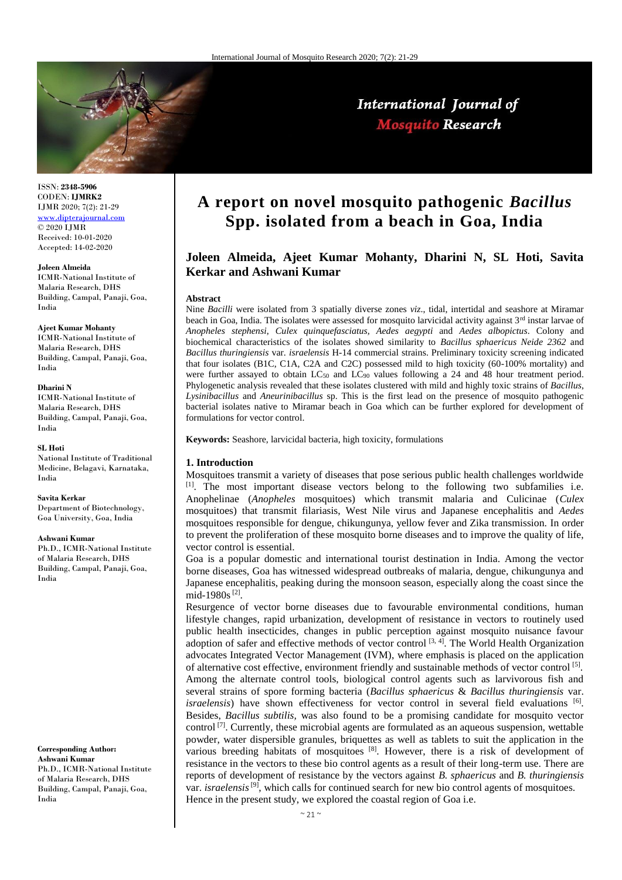

ISSN: **2348-5906** CODEN: **IJMRK2** IJMR 2020; 7(2): 21-29 [www.dipterajournal.com](http://www.dipterajournal.com/) © 2020 IJMR Received: 10-01-2020 Accepted: 14-02-2020

#### **Joleen Almeida**

ICMR-National Institute of Malaria Research, DHS Building, Campal, Panaji, Goa, India

# **Ajeet Kumar Mohanty**

ICMR-National Institute of Malaria Research, DHS Building, Campal, Panaji, Goa, India

#### **Dharini N**

ICMR-National Institute of Malaria Research, DHS Building, Campal, Panaji, Goa, India

#### **SL Hoti**

National Institute of Traditional Medicine, Belagavi, Karnataka, India

#### **Savita Kerkar**

Department of Biotechnology, Goa University, Goa, India

#### **Ashwani Kumar**

Ph.D., ICMR-National Institute of Malaria Research, DHS Building, Campal, Panaji, Goa, India

#### **Corresponding Author:**

**Ashwani Kumar** Ph.D., ICMR-National Institute of Malaria Research, DHS Building, Campal, Panaji, Goa, India

# **A report on novel mosquito pathogenic** *Bacillus*  **Spp. isolated from a beach in Goa, India**

# **Joleen Almeida, Ajeet Kumar Mohanty, Dharini N, SL Hoti, Savita Kerkar and Ashwani Kumar**

#### **Abstract**

Nine *Bacilli* were isolated from 3 spatially diverse zones *viz*., tidal, intertidal and seashore at Miramar beach in Goa, India. The isolates were assessed for mosquito larvicidal activity against  $3<sup>rd</sup>$  instar larvae of *Anopheles stephensi*, *Culex quinquefasciatus, Aedes aegypti* and *Aedes albopictus*. Colony and biochemical characteristics of the isolates showed similarity to *Bacillus sphaericus Neide 2362* and *Bacillus thuringiensis* var. *israelensis* H-14 commercial strains. Preliminary toxicity screening indicated that four isolates (B1C, C1A, C2A and C2C) possessed mild to high toxicity (60-100% mortality) and were further assayed to obtain  $LC_{50}$  and  $LC_{90}$  values following a 24 and 48 hour treatment period. Phylogenetic analysis revealed that these isolates clustered with mild and highly toxic strains of *Bacillus*, *Lysinibacillus* and *Aneurinibacillus* sp. This is the first lead on the presence of mosquito pathogenic bacterial isolates native to Miramar beach in Goa which can be further explored for development of formulations for vector control.

**Keywords:** Seashore, larvicidal bacteria, high toxicity, formulations

## **1. Introduction**

Mosquitoes transmit a variety of diseases that pose serious public health challenges worldwide  $[1]$ . The most important disease vectors belong to the following two subfamilies i.e. Anophelinae (*Anopheles* mosquitoes) which transmit malaria and Culicinae (*Culex* mosquitoes) that transmit filariasis, West Nile virus and Japanese encephalitis and *Aedes*  mosquitoes responsible for dengue, chikungunya, yellow fever and Zika transmission. In order to prevent the proliferation of these mosquito borne diseases and to improve the quality of life, vector control is essential.

Goa is a popular domestic and international tourist destination in India. Among the vector borne diseases, Goa has witnessed widespread outbreaks of malaria, dengue, chikungunya and Japanese encephalitis, peaking during the monsoon season, especially along the coast since the mid-1980s<sup>[2]</sup>.

Resurgence of vector borne diseases due to favourable environmental conditions, human lifestyle changes, rapid urbanization, development of resistance in vectors to routinely used public health insecticides, changes in public perception against mosquito nuisance favour adoption of safer and effective methods of vector control  $[3, 4]$ . The World Health Organization advocates Integrated Vector Management (IVM), where emphasis is placed on the application of alternative cost effective, environment friendly and sustainable methods of vector control  $[5]$ . Among the alternate control tools, biological control agents such as larvivorous fish and several strains of spore forming bacteria (*Bacillus sphaericus* & *Bacillus thuringiensis* var. israelensis) have shown effectiveness for vector control in several field evaluations [6]. Besides, *Bacillus subtilis,* was also found to be a promising candidate for mosquito vector control  $[7]$ . Currently, these microbial agents are formulated as an aqueous suspension, wettable powder, water dispersible granules, briquettes as well as tablets to suit the application in the various breeding habitats of mosquitoes  $[8]$ . However, there is a risk of development of resistance in the vectors to these bio control agents as a result of their long-term use. There are reports of development of resistance by the vectors against *B. sphaericus* and *B. thuringiensis*  var. *israelensis*<sup>[9]</sup>, which calls for continued search for new bio control agents of mosquitoes. Hence in the present study, we explored the coastal region of Goa i.e.

# International Journal of **Mosquito Research**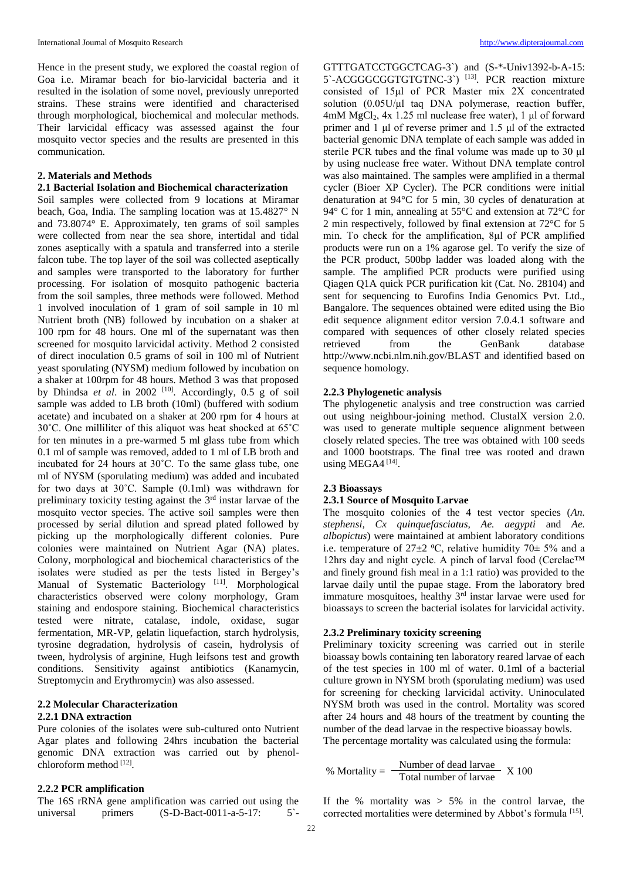Hence in the present study, we explored the coastal region of Goa i.e. Miramar beach for bio-larvicidal bacteria and it resulted in the isolation of some novel, previously unreported strains. These strains were identified and characterised through morphological, biochemical and molecular methods. Their larvicidal efficacy was assessed against the four mosquito vector species and the results are presented in this communication.

# **2. Materials and Methods**

# **2.1 Bacterial Isolation and Biochemical characterization**

Soil samples were collected from 9 locations at Miramar beach, Goa, India. The sampling location was at 15.4827° N and 73.8074° E. Approximately, ten grams of soil samples were collected from near the sea shore, intertidal and tidal zones aseptically with a spatula and transferred into a sterile falcon tube. The top layer of the soil was collected aseptically and samples were transported to the laboratory for further processing. For isolation of mosquito pathogenic bacteria from the soil samples, three methods were followed. Method 1 involved inoculation of 1 gram of soil sample in 10 ml Nutrient broth (NB) followed by incubation on a shaker at 100 rpm for 48 hours. One ml of the supernatant was then screened for mosquito larvicidal activity. Method 2 consisted of direct inoculation 0.5 grams of soil in 100 ml of Nutrient yeast sporulating (NYSM) medium followed by incubation on a shaker at 100rpm for 48 hours. Method 3 was that proposed by Dhindsa *et al.* in 2002<sup>[10]</sup>. Accordingly, 0.5 g of soil sample was added to LB broth (10ml) (buffered with sodium acetate) and incubated on a shaker at 200 rpm for 4 hours at 30˚C. One milliliter of this aliquot was heat shocked at 65˚C for ten minutes in a pre-warmed 5 ml glass tube from which 0.1 ml of sample was removed, added to 1 ml of LB broth and incubated for 24 hours at 30˚C. To the same glass tube, one ml of NYSM (sporulating medium) was added and incubated for two days at 30˚C. Sample (0.1ml) was withdrawn for preliminary toxicity testing against the 3rd instar larvae of the mosquito vector species. The active soil samples were then processed by serial dilution and spread plated followed by picking up the morphologically different colonies. Pure colonies were maintained on Nutrient Agar (NA) plates. Colony, morphological and biochemical characteristics of the isolates were studied as per the tests listed in Bergey's Manual of Systematic Bacteriology<sup>[11]</sup>. Morphological characteristics observed were colony morphology, Gram staining and endospore staining. Biochemical characteristics tested were nitrate, catalase, indole, oxidase, sugar fermentation, MR-VP, gelatin liquefaction, starch hydrolysis, tyrosine degradation, hydrolysis of casein, hydrolysis of tween, hydrolysis of arginine, Hugh leifsons test and growth conditions. Sensitivity against antibiotics (Kanamycin, Streptomycin and Erythromycin) was also assessed.

#### **2.2 Molecular Characterization 2.2.1 DNA extraction**

# Pure colonies of the isolates were sub-cultured onto Nutrient Agar plates and following 24hrs incubation the bacterial genomic DNA extraction was carried out by phenolchloroform method [12].

## **2.2.2 PCR amplification**

The 16S rRNA gene amplification was carried out using the universal primers (S-D-Bact-0011-a-5-17: 5`-

GTTTGATCCTGGCTCAG-3`) and (S-\*-Univ1392-b-A-15: 5`-ACGGGCGGTGTGTNC-3`) [13]. PCR reaction mixture consisted of 15μl of PCR Master mix 2X concentrated solution  $(0.05U/\mu l$  taq DNA polymerase, reaction buffer, 4mM MgCl2, 4x 1.25 ml nuclease free water), 1 μl of forward primer and 1 μl of reverse primer and 1.5 μl of the extracted bacterial genomic DNA template of each sample was added in sterile PCR tubes and the final volume was made up to 30 μl by using nuclease free water. Without DNA template control was also maintained. The samples were amplified in a thermal cycler (Bioer XP Cycler). The PCR conditions were initial denaturation at 94°C for 5 min, 30 cycles of denaturation at 94° C for 1 min, annealing at 55°C and extension at 72°C for 2 min respectively, followed by final extension at 72°C for 5 min. To check for the amplification, 8μl of PCR amplified products were run on a 1% agarose gel. To verify the size of the PCR product, 500bp ladder was loaded along with the sample. The amplified PCR products were purified using Qiagen Q1A quick PCR purification kit (Cat. No. 28104) and sent for sequencing to Eurofins India Genomics Pvt. Ltd., Bangalore. The sequences obtained were edited using the Bio edit sequence alignment editor version 7.0.4.1 software and compared with sequences of other closely related species retrieved from the GenBank database http://www.ncbi.nlm.nih.gov/BLAST and identified based on sequence homology.

#### **2.2.3 Phylogenetic analysis**

The phylogenetic analysis and tree construction was carried out using neighbour-joining method. ClustalX version 2.0. was used to generate multiple sequence alignment between closely related species. The tree was obtained with 100 seeds and 1000 bootstraps. The final tree was rooted and drawn using MEGA4<sup>[14]</sup>.

## **2.3 Bioassays**

# **2.3.1 Source of Mosquito Larvae**

The mosquito colonies of the 4 test vector species (*An. stephensi, Cx quinquefasciatus, Ae. aegypti* and *Ae. albopictus*) were maintained at ambient laboratory conditions i.e. temperature of  $27\pm2$  °C, relative humidity  $70\pm5\%$  and a 12hrs day and night cycle. A pinch of larval food (Cerelac™ and finely ground fish meal in a 1:1 ratio) was provided to the larvae daily until the pupae stage. From the laboratory bred immature mosquitoes, healthy 3<sup>rd</sup> instar larvae were used for bioassays to screen the bacterial isolates for larvicidal activity.

## **2.3.2 Preliminary toxicity screening**

Preliminary toxicity screening was carried out in sterile bioassay bowls containing ten laboratory reared larvae of each of the test species in 100 ml of water. 0.1ml of a bacterial culture grown in NYSM broth (sporulating medium) was used for screening for checking larvicidal activity. Uninoculated NYSM broth was used in the control. Mortality was scored after 24 hours and 48 hours of the treatment by counting the number of the dead larvae in the respective bioassay bowls. The percentage mortality was calculated using the formula:

$$
\% \text{ Mortality} = \frac{\text{Number of dead larvae}}{\text{Total number of larvae}} \text{ X } 100
$$

If the % mortality was > 5% in the control larvae, the corrected mortalities were determined by Abbot's formula <a>[15]</a>.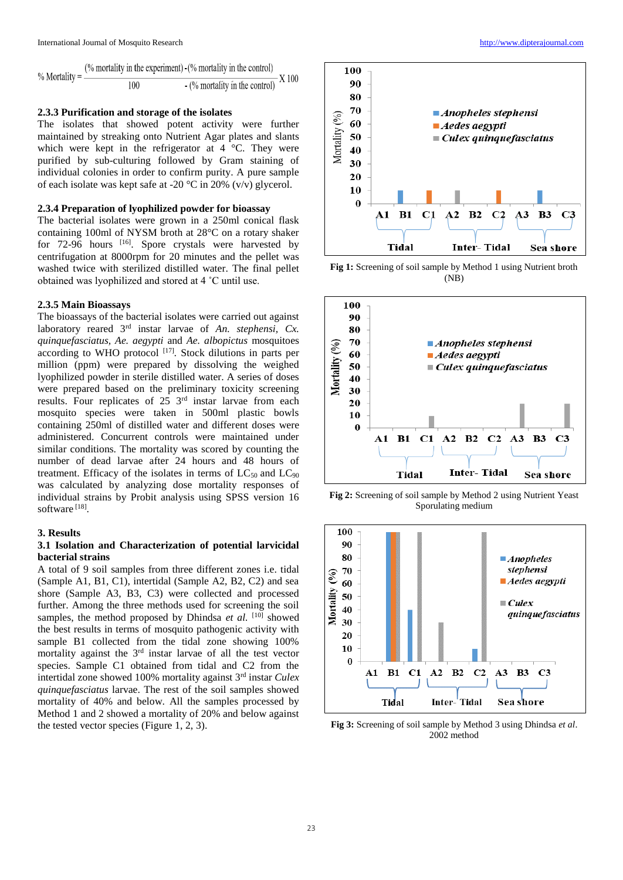|                     | $\frac{1}{2}$ (% mortality in the experiment) $\frac{1}{2}$ mortality in the control |  |  |
|---------------------|--------------------------------------------------------------------------------------|--|--|
| $0/2$ Mortality $-$ |                                                                                      |  |  |

# **2.3.3 Purification and storage of the isolates**

The isolates that showed potent activity were further maintained by streaking onto Nutrient Agar plates and slants which were kept in the refrigerator at 4 °C. They were purified by sub-culturing followed by Gram staining of individual colonies in order to confirm purity. A pure sample of each isolate was kept safe at -20  $\degree$ C in 20% (v/v) glycerol.

#### **2.3.4 Preparation of lyophilized powder for bioassay**

The bacterial isolates were grown in a 250ml conical flask containing 100ml of NYSM broth at 28°C on a rotary shaker for 72-96 hours [16]. Spore crystals were harvested by centrifugation at 8000rpm for 20 minutes and the pellet was washed twice with sterilized distilled water. The final pellet obtained was lyophilized and stored at 4 ˚C until use.

## **2.3.5 Main Bioassays**

The bioassays of the bacterial isolates were carried out against laboratory reared 3<sup>rd</sup> instar larvae of *An. stephensi*, *Cx. quinquefasciatus, Ae. aegypti* and *Ae. albopictus* mosquitoes according to WHO protocol <sup>[17]</sup>. Stock dilutions in parts per million (ppm) were prepared by dissolving the weighed lyophilized powder in sterile distilled water. A series of doses were prepared based on the preliminary toxicity screening results. Four replicates of 25 3rd instar larvae from each mosquito species were taken in 500ml plastic bowls containing 250ml of distilled water and different doses were administered. Concurrent controls were maintained under similar conditions. The mortality was scored by counting the number of dead larvae after 24 hours and 48 hours of treatment. Efficacy of the isolates in terms of  $LC_{50}$  and  $LC_{90}$ was calculated by analyzing dose mortality responses of individual strains by Probit analysis using SPSS version 16 software<sup>[18]</sup>.

#### **3. Results**

#### **3.1 Isolation and Characterization of potential larvicidal bacterial strains**

A total of 9 soil samples from three different zones i.e. tidal (Sample A1, B1, C1), intertidal (Sample A2, B2, C2) and sea shore (Sample A3, B3, C3) were collected and processed further. Among the three methods used for screening the soil samples, the method proposed by Dhindsa *et al.* [10] showed the best results in terms of mosquito pathogenic activity with sample B1 collected from the tidal zone showing 100% mortality against the 3rd instar larvae of all the test vector species. Sample C1 obtained from tidal and C2 from the intertidal zone showed 100% mortality against 3rd instar *Culex quinquefasciatus* larvae. The rest of the soil samples showed mortality of 40% and below. All the samples processed by Method 1 and 2 showed a mortality of 20% and below against the tested vector species (Figure 1, 2, 3).



**Fig 1:** Screening of soil sample by Method 1 using Nutrient broth (NB)



**Fig 2:** Screening of soil sample by Method 2 using Nutrient Yeast Sporulating medium



**Fig 3:** Screening of soil sample by Method 3 using Dhindsa *et al*. 2002 method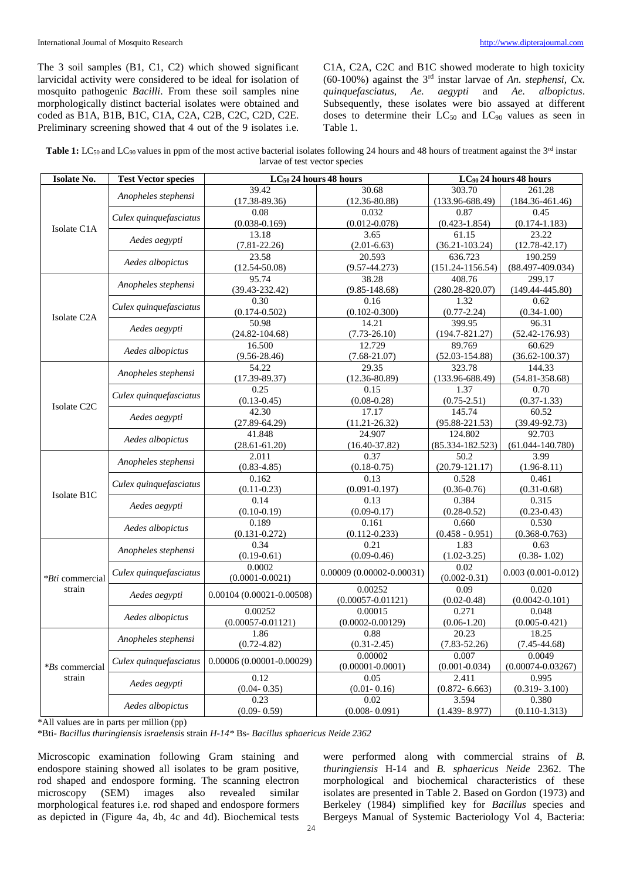The 3 soil samples (B1, C1, C2) which showed significant larvicidal activity were considered to be ideal for isolation of mosquito pathogenic *Bacilli*. From these soil samples nine morphologically distinct bacterial isolates were obtained and coded as B1A, B1B, B1C, C1A, C2A, C2B, C2C, C2D, C2E. Preliminary screening showed that 4 out of the 9 isolates i.e. C1A, C2A, C2C and B1C showed moderate to high toxicity (60-100%) against the 3rd instar larvae of *An. stephensi, Cx. quinquefasciatus, Ae. aegypti* and *Ae. albopictus*. Subsequently, these isolates were bio assayed at different doses to determine their  $LC_{50}$  and  $LC_{90}$  values as seen in Table 1.

| Table 1: LC <sub>50</sub> and LC <sub>90</sub> values in ppm of the most active bacterial isolates following 24 hours and 48 hours of treatment against the 3 <sup>rd</sup> instar |
|------------------------------------------------------------------------------------------------------------------------------------------------------------------------------------|
| larvae of test vector species                                                                                                                                                      |

| <b>Isolate No.</b>               | <b>Test Vector species</b> | LC <sub>50</sub> 24 hours 48 hours |                              | LC <sub>90</sub> 24 hours 48 hours |                        |
|----------------------------------|----------------------------|------------------------------------|------------------------------|------------------------------------|------------------------|
|                                  | Anopheles stephensi        | 39.42                              | 30.68                        | 303.70                             | 261.28                 |
| Isolate C <sub>1</sub> A         |                            | $(17.38 - 89.36)$                  | $(12.36 - 80.88)$            | $(133.96 - 688.49)$                | $(184.36 - 461.46)$    |
|                                  | Culex quinquefasciatus     | 0.08                               | 0.032                        | 0.87                               | 0.45                   |
|                                  |                            | $(0.038 - 0.169)$                  | $(0.012 - 0.078)$            | $(0.423 - 1.854)$                  | $(0.174 - 1.183)$      |
|                                  | Aedes aegypti              | 13.18                              | 3.65                         | 61.15                              | 23.22                  |
|                                  |                            | $(7.81 - 22.26)$                   | $(2.01 - 6.63)$              | $(36.21 - 103.24)$                 | $(12.78 - 42.17)$      |
|                                  | Aedes albopictus           | 23.58                              | 20.593                       | 636.723                            | 190.259                |
|                                  |                            | $(12.54 - 50.08)$                  | $(9.57 - 44.273)$            | $(151.24 - 1156.54)$               | $(88.497 - 409.034)$   |
|                                  | Anopheles stephensi        | 95.74                              | 38.28                        | 408.76                             | 299.17                 |
|                                  |                            | $(39.43 - 232.42)$                 | $(9.85 - 148.68)$            | $(280.28 - 820.07)$                | $(149.44 - 445.80)$    |
|                                  | Culex quinquefasciatus     | 0.30                               | 0.16                         | 1.32                               | 0.62                   |
| Isolate C <sub>2</sub> A         |                            | $(0.174 - 0.502)$                  | $(0.102 - 0.300)$            | $(0.77 - 2.24)$                    | $(0.34 - 1.00)$        |
|                                  | Aedes aegypti              | 50.98                              | 14.21                        | 399.95                             | 96.31                  |
|                                  |                            | $(24.82 - 104.68)$                 | $(7.73 - 26.10)$             | $(194.7 - 821.27)$                 | $(52.42 - 176.93)$     |
|                                  | Aedes albopictus           | 16.500                             | 12.729                       | 89.769                             | 60.629                 |
|                                  |                            | $(9.56 - 28.46)$                   | $(7.68 - 21.07)$             | $(52.03 - 154.88)$                 | $(36.62 - 100.37)$     |
|                                  | Anopheles stephensi        | 54.22                              | 29.35                        | 323.78                             | 144.33                 |
|                                  |                            | $(17.39 - 89.37)$                  | $(12.36 - 80.89)$            | $(133.96 - 688.49)$                | $(54.81 - 358.68)$     |
|                                  | Culex quinquefasciatus     | 0.25                               | 0.15                         | 1.37                               | 0.70                   |
| Isolate C <sub>2</sub> C         |                            | $(0.13 - 0.45)$                    | $(0.08 - 0.28)$              | $(0.75 - 2.51)$                    | $(0.37 - 1.33)$        |
|                                  | Aedes aegypti              | 42.30                              | 17.17                        | 145.74                             | 60.52                  |
|                                  |                            | $(27.89 - 64.29)$                  | $(11.21 - 26.32)$            | $(95.88 - 221.53)$                 | $(39.49 - 92.73)$      |
|                                  | Aedes albopictus           | 41.848                             | 24.907                       | 124.802                            | 92.703                 |
|                                  |                            | $(28.61 - 61.20)$                  | $(16.40 - 37.82)$            | $(85.334 - 182.523)$               | $(61.044 - 140.780)$   |
|                                  | Anopheles stephensi        | 2.011                              | 0.37                         | 50.2                               | 3.99                   |
|                                  |                            | $(0.83 - 4.85)$                    | $(0.18 - 0.75)$              | $(20.79 - 121.17)$                 | $(1.96 - 8.11)$        |
|                                  | Culex quinquefasciatus     | 0.162                              | 0.13                         | 0.528                              | 0.461                  |
| Isolate B1C                      |                            | $(0.11 - 0.23)$                    | $(0.091 - 0.197)$            | $(0.36 - 0.76)$                    | $(0.31 - 0.68)$        |
|                                  | Aedes aegypti              | 0.14                               | 0.13                         | 0.384                              | 0.315                  |
|                                  |                            | $(0.10 - 0.19)$                    | $(0.09 - 0.17)$              | $(0.28 - 0.52)$                    | $(0.23 - 0.43)$        |
|                                  | Aedes albopictus           | 0.189                              | 0.161                        | 0.660                              | 0.530                  |
|                                  |                            | $(0.131 - 0.272)$                  | $(0.112 - 0.233)$            | $(0.458 - 0.951)$                  | $(0.368 - 0.763)$      |
| <i>*Bti</i> commercial<br>strain | Anopheles stephensi        | 0.34                               | 0.21                         | 1.83                               | 0.63                   |
|                                  |                            | $(0.19 - 0.61)$                    | $(0.09 - 0.46)$              | $(1.02 - 3.25)$                    | $(0.38 - 1.02)$        |
|                                  | Culex quinquefasciatus     | 0.0002<br>$(0.0001 - 0.0021)$      | $0.00009(0.00002 - 0.00031)$ | 0.02<br>$(0.002 - 0.31)$           | $0.003(0.001 - 0.012)$ |
|                                  | Aedes aegypti              | $0.00104(0.00021 - 0.00508)$       | 0.00252                      | 0.09                               | 0.020                  |
|                                  |                            |                                    | $(0.00057 - 0.01121)$        | $(0.02 - 0.48)$                    | $(0.0042 - 0.101)$     |
|                                  |                            | 0.00252                            | 0.00015                      | 0.271                              | 0.048                  |
|                                  | Aedes albopictus           | $(0.00057 - 0.01121)$              | $(0.0002 - 0.00129)$         | $(0.06-1.20)$                      | $(0.005 - 0.421)$      |
| *Bs commercial<br>strain         |                            | 1.86                               | 0.88                         | 20.23                              | 18.25                  |
|                                  | Anopheles stephensi        | $(0.72 - 4.82)$                    | $(0.31 - 2.45)$              | $(7.83 - 52.26)$                   | $(7.45 - 44.68)$       |
|                                  |                            | $0.00006(0.00001 - 0.00029)$       | 0.00002                      | 0.007                              | 0.0049                 |
|                                  | Culex quinquefasciatus     |                                    | $(0.00001 - 0.0001)$         | $(0.001 - 0.034)$                  | $(0.00074 - 0.03267)$  |
|                                  | Aedes aegypti              | 0.12                               | 0.05                         | 2.411                              | 0.995                  |
|                                  |                            | $(0.04 - 0.35)$                    | $(0.01 - 0.16)$              | $(0.872 - 6.663)$                  | $(0.319 - 3.100)$      |
|                                  | Aedes albopictus           | 0.23                               | 0.02                         | 3.594                              | 0.380                  |
|                                  |                            | $(0.09 - 0.59)$                    | $(0.008 - 0.091)$            | $(1.439 - 8.977)$                  | $(0.110 - 1.313)$      |

\*All values are in parts per million (pp)

\*Bti- *Bacillus thuringiensis israelensis* strain *H-14\** Bs- *Bacillus sphaericus Neide 2362*

Microscopic examination following Gram staining and endospore staining showed all isolates to be gram positive, rod shaped and endospore forming. The scanning electron microscopy (SEM) images also revealed similar morphological features i.e. rod shaped and endospore formers as depicted in (Figure 4a, 4b, 4c and 4d). Biochemical tests

were performed along with commercial strains of *B. thuringiensis* H-14 and *B. sphaericus Neide* 2362. The morphological and biochemical characteristics of these isolates are presented in Table 2. Based on Gordon (1973) and Berkeley (1984) simplified key for *Bacillus* species and Bergeys Manual of Systemic Bacteriology Vol 4, Bacteria: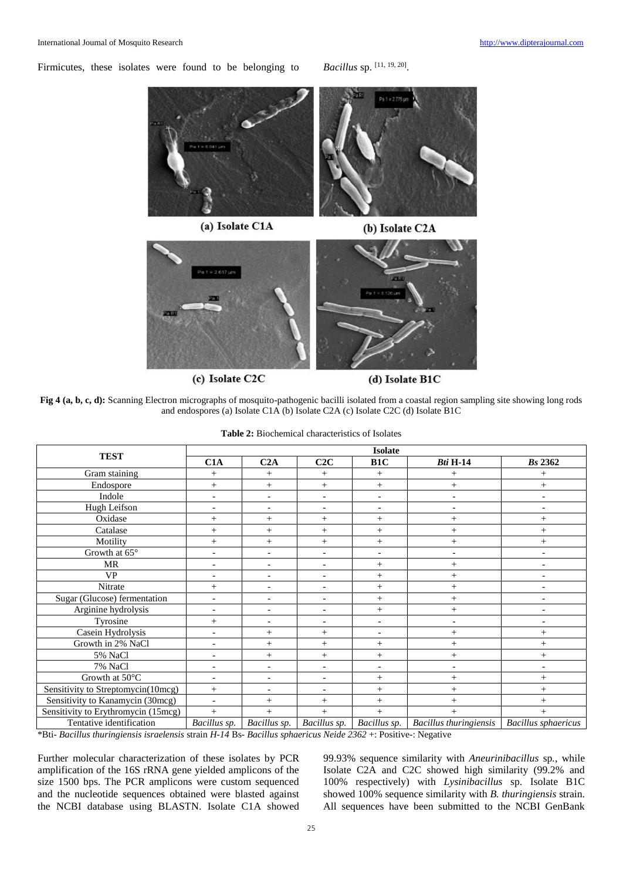Firmicutes, these isolates were found to be belonging to

Bacillus sp. [11, 19, 20].





(c) Isolate C2C

(d) Isolate B1C

**Fig 4 (a, b, c, d):** Scanning Electron micrographs of mosquito-pathogenic bacilli isolated from a coastal region sampling site showing long rods and endospores (a) Isolate C1A (b) Isolate C2A (c) Isolate C2C (d) Isolate B1C

|                                     | <b>Isolate</b>           |                          |                          |                          |                               |                            |
|-------------------------------------|--------------------------|--------------------------|--------------------------|--------------------------|-------------------------------|----------------------------|
| <b>TEST</b>                         | C1A                      | C2A                      | C2C                      | B <sub>1</sub> C         | <b>Bti H-14</b>               | <b>Bs</b> 2362             |
| Gram staining                       | $^{+}$                   | $^{+}$                   | $^{+}$                   | $^{+}$                   | $^{+}$                        |                            |
| Endospore                           | $^{+}$                   | $^{+}$                   | $^{+}$                   | $^{+}$                   | $+$                           | $^{+}$                     |
| Indole                              |                          | $\overline{a}$           | $\blacksquare$           | $\overline{\phantom{a}}$ | $\overline{\phantom{a}}$      |                            |
| Hugh Leifson                        |                          | $\overline{\phantom{a}}$ | $\blacksquare$           | $\overline{\phantom{a}}$ | $\overline{a}$                | ۰                          |
| Oxidase                             | $^{+}$                   | $^{+}$                   | $^{+}$                   | $^{+}$                   | $^{+}$                        | $^{+}$                     |
| Catalase                            | $^{+}$                   | $^{+}$                   | $^{+}$                   | $^{+}$                   | $^{+}$                        | $^{+}$                     |
| Motility                            | $^{+}$                   | $^{+}$                   | $^{+}$                   | $^{+}$                   | $^{+}$                        | $^{+}$                     |
| Growth at $65^\circ$                |                          | $\overline{\phantom{a}}$ | $\blacksquare$           | $\overline{\phantom{a}}$ | $\overline{\phantom{a}}$      | ۰                          |
| <b>MR</b>                           | ۰                        | $\blacksquare$           | $\blacksquare$           | $^{+}$                   | $^{+}$                        |                            |
| <b>VP</b>                           | ۰                        | $\overline{\phantom{a}}$ | $\blacksquare$           | $^{+}$                   | $^{+}$                        | $\overline{\phantom{a}}$   |
| Nitrate                             | $^{+}$                   | $\blacksquare$           | $\blacksquare$           | $^{+}$                   | $^{+}$                        |                            |
| Sugar (Glucose) fermentation        | $\overline{\phantom{0}}$ | $\overline{\phantom{a}}$ | $\blacksquare$           | $^{+}$                   | $^{+}$                        | $\overline{\phantom{0}}$   |
| Arginine hydrolysis                 | ۰                        | $\overline{\phantom{a}}$ | $\overline{\phantom{a}}$ | $^{+}$                   | $^{+}$                        |                            |
| Tyrosine                            | $^{+}$                   | $\overline{\phantom{0}}$ | $\sim$                   | $\overline{\phantom{a}}$ |                               |                            |
| Casein Hydrolysis                   |                          | $^{+}$                   | $^{+}$                   | $\blacksquare$           | $^{+}$                        | $^{+}$                     |
| Growth in 2% NaCl                   |                          | $^{+}$                   | $^{+}$                   | $^{+}$                   | $+$                           | $^{+}$                     |
| 5% NaCl                             |                          | $^{+}$                   | $^{+}$                   | $^{+}$                   | $+$                           | $^{+}$                     |
| 7% NaCl                             |                          |                          | $\overline{\phantom{a}}$ | $\overline{\phantom{a}}$ |                               |                            |
| Growth at 50°C                      |                          | $\overline{\phantom{a}}$ | $\blacksquare$           | $^{+}$                   | $^{+}$                        | $^{+}$                     |
| Sensitivity to Streptomycin(10mcg)  | $^{+}$                   |                          | $\overline{\phantom{a}}$ | $^{+}$                   | $^{+}$                        | $\ddot{}$                  |
| Sensitivity to Kanamycin (30mcg)    | $\overline{a}$           | $^{+}$                   | $^{+}$                   | $^{+}$                   |                               |                            |
| Sensitivity to Erythromycin (15mcg) | $+$                      | $^{+}$                   | $^{+}$                   | $+$                      | $^{+}$                        | $^{+}$                     |
| Tentative identification            | Bacillus sp.             | Bacillus sp.             | Bacillus sp.             | Bacillus sp.             | <b>Bacillus</b> thuringiensis | <b>Bacillus</b> sphaericus |

| <b>Table 2:</b> Biochemical characteristics of Isolates |
|---------------------------------------------------------|
|                                                         |

\*Bti- *Bacillus thuringiensis israelensis* strain *H-14* Bs- *Bacillus sphaericus Neide 2362* +: Positive-: Negative

Further molecular characterization of these isolates by PCR amplification of the 16S rRNA gene yielded amplicons of the size 1500 bps. The PCR amplicons were custom sequenced and the nucleotide sequences obtained were blasted against the NCBI database using BLASTN. Isolate C1A showed 99.93% sequence similarity with *Aneurinibacillus* sp*.*, while Isolate C2A and C2C showed high similarity (99.2% and 100% respectively) with *Lysinibacillus* sp. Isolate B1C showed 100% sequence similarity with *B. thuringiensis* strain. All sequences have been submitted to the NCBI GenBank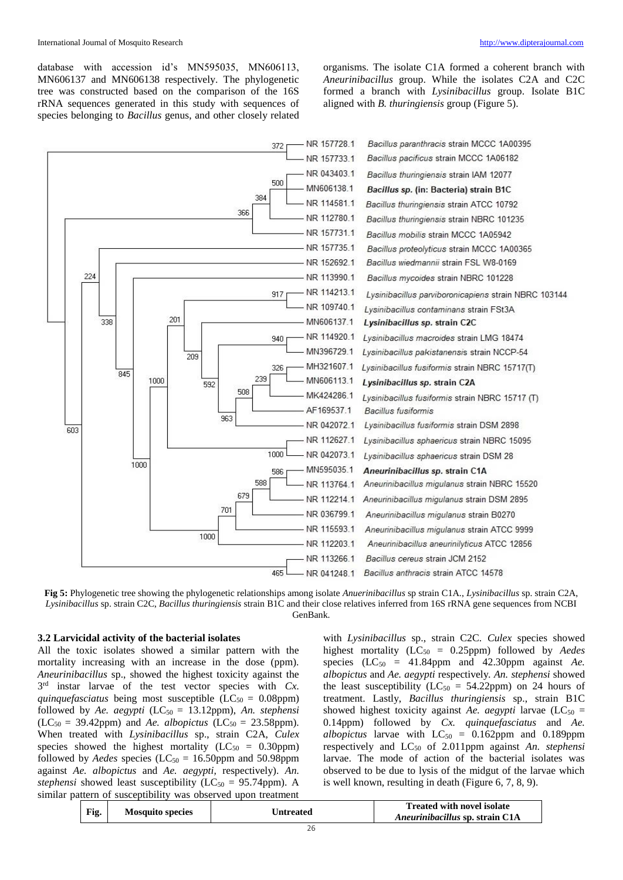database with accession id's MN595035, MN606113, MN606137 and MN606138 respectively. The phylogenetic tree was constructed based on the comparison of the 16S rRNA sequences generated in this study with sequences of species belonging to *Bacillus* genus, and other closely related

organisms. The isolate C1A formed a coherent branch with *Aneurinibacillus* group. While the isolates C2A and C2C formed a branch with *Lysinibacillus* group. Isolate B1C aligned with *B. thuringiensis* group (Figure 5).



**Fig 5:** Phylogenetic tree showing the phylogenetic relationships among isolate *Anuerinibacillus* sp strain C1A., *Lysinibacillus* sp. strain C2A, *Lysinibacillus* sp. strain C2C, *Bacillus thuringiensis* strain B1C and their close relatives inferred from 16S rRNA gene sequences from NCBI GenBank.

#### **3.2 Larvicidal activity of the bacterial isolates**

All the toxic isolates showed a similar pattern with the mortality increasing with an increase in the dose (ppm). *Aneurinibacillus* sp., showed the highest toxicity against the 3 rd instar larvae of the test vector species with *Cx. quinquefasciatus* being most susceptible  $(LC_{50} = 0.08$ ppm) followed by *Ae. aegypti* (LC<sub>50</sub> = 13.12ppm), *An. stephensi*  $(LC_{50} = 39.42$ ppm) and *Ae. albopictus*  $(LC_{50} = 23.58$ ppm). When treated with *Lysinibacillus* sp., strain C2A, *Culex*  species showed the highest mortality ( $LC_{50} = 0.30$ ppm) followed by *Aedes* species (LC<sub>50</sub> = 16.50ppm and 50.98ppm against *Ae. albopictus* and *Ae. aegypti,* respectively). *An. stephensi* showed least susceptibility ( $LC_{50} = 95.74$ ppm). A similar pattern of susceptibility was observed upon treatment

with *Lysinibacillus* sp., strain C2C. *Culex* species showed highest mortality (LC<sub>50</sub> = 0.25ppm) followed by *Aedes* species  $(LC_{50} = 41.84$ ppm and 42.30 ppm against *Ae. albopictus* and *Ae. aegypti* respectively*. An. stephensi* showed the least susceptibility ( $LC_{50} = 54.22$ ppm) on 24 hours of treatment. Lastly, *Bacillus thuringiensis* sp., strain B1C showed highest toxicity against *Ae. aegypti* larvae  $(LC_{50} =$ 0.14ppm) followed by *Cx. quinquefasciatus* and *Ae. albopictus* larvae with  $LC_{50} = 0.162$ ppm and 0.189ppm respectively and LC<sup>50</sup> of 2.011ppm against *An. stephensi* larvae. The mode of action of the bacterial isolates was observed to be due to lysis of the midgut of the larvae which is well known, resulting in death (Figure 6, 7, 8, 9).

| Fig. | <b>Mosquito species</b> | <b>Intreated</b> | <b>Treated with novel isolate</b><br>Aneurinibacillus sp. strain C1A |
|------|-------------------------|------------------|----------------------------------------------------------------------|
|      |                         |                  |                                                                      |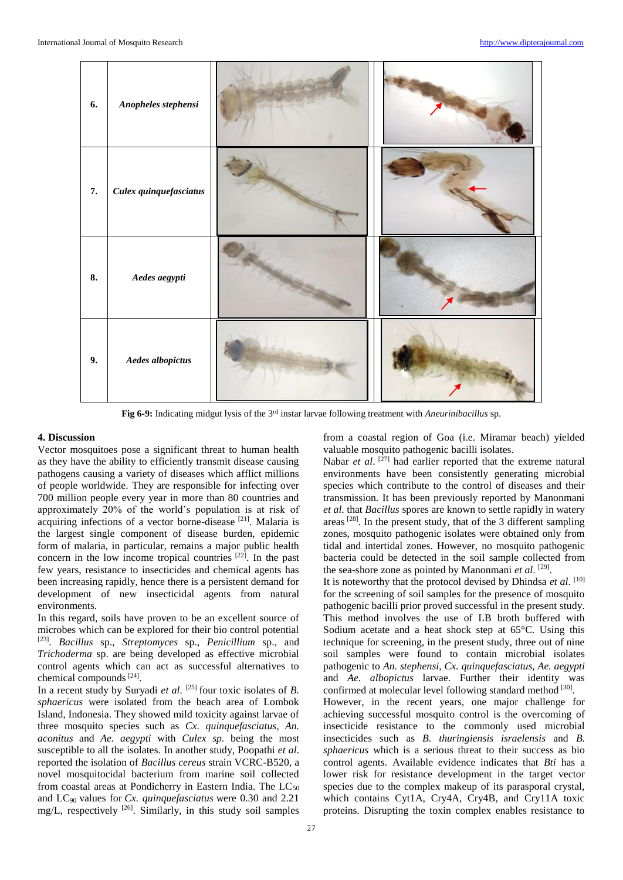

**Fig 6-9:** Indicating midgut lysis of the 3rd instar larvae following treatment with *Aneurinibacillus* sp.

# **4. Discussion**

Vector mosquitoes pose a significant threat to human health as they have the ability to efficiently transmit disease causing pathogens causing a variety of diseases which afflict millions of people worldwide. They are responsible for infecting over 700 million people every year in more than 80 countries and approximately 20% of the world's population is at risk of acquiring infections of a vector borne-disease<sup>[21]</sup>. Malaria is the largest single component of disease burden, epidemic form of malaria, in particular, remains a major public health concern in the low income tropical countries  $[22]$ . In the past few years, resistance to insecticides and chemical agents has been increasing rapidly, hence there is a persistent demand for development of new insecticidal agents from natural environments.

In this regard, soils have proven to be an excellent source of microbes which can be explored for their bio control potential [23] . *Bacillus* sp., *Streptomyces* sp., *Penicillium* sp., and *Trichoderma* sp. are being developed as effective microbial control agents which can act as successful alternatives to chemical compounds  $[24]$ .

In a recent study by Suryadi *et al*. [25] four toxic isolates of *B. sphaericus* were isolated from the beach area of Lombok Island, Indonesia. They showed mild toxicity against larvae of three mosquito species such as *Cx. quinquefasciatus*, *An. aconitus* and *Ae. aegypti* with *Culex sp.* being the most susceptible to all the isolates. In another study, Poopathi *et al*. reported the isolation of *Bacillus cereus* strain VCRC-B520, a novel mosquitocidal bacterium from marine soil collected from coastal areas at Pondicherry in Eastern India. The  $LC_{50}$ and LC90 values for *Cx. quinquefasciatus* were 0.30 and 2.21 mg/L, respectively [26] . Similarly, in this study soil samples from a coastal region of Goa (i.e. Miramar beach) yielded valuable mosquito pathogenic bacilli isolates.

Nabar *et al.* <sup>[27]</sup> had earlier reported that the extreme natural environments have been consistently generating microbial species which contribute to the control of diseases and their transmission. It has been previously reported by Manonmani *et al*. that *Bacillus* spores are known to settle rapidly in watery areas  $^{[28]}$ . In the present study, that of the 3 different sampling zones, mosquito pathogenic isolates were obtained only from tidal and intertidal zones. However, no mosquito pathogenic bacteria could be detected in the soil sample collected from the sea-shore zone as pointed by Manonmani *et al.* [29].

It is noteworthy that the protocol devised by Dhindsa *et al*. [10] for the screening of soil samples for the presence of mosquito pathogenic bacilli prior proved successful in the present study. This method involves the use of LB broth buffered with Sodium acetate and a heat shock step at 65°C. Using this technique for screening, in the present study, three out of nine soil samples were found to contain microbial isolates pathogenic to *An. stephensi, Cx. quinquefasciatus, Ae. aegypti*  and *Ae. albopictus* larvae. Further their identity was confirmed at molecular level following standard method [30]. However, in the recent years, one major challenge for achieving successful mosquito control is the overcoming of insecticide resistance to the commonly used microbial insecticides such as *B. thuringiensis israelensis* and *B. sphaericus* which is a serious threat to their success as bio control agents. Available evidence indicates that *Bti* has a lower risk for resistance development in the target vector species due to the complex makeup of its parasporal crystal, which contains Cyt1A, Cry4A, Cry4B, and Cry11A toxic proteins. Disrupting the toxin complex enables resistance to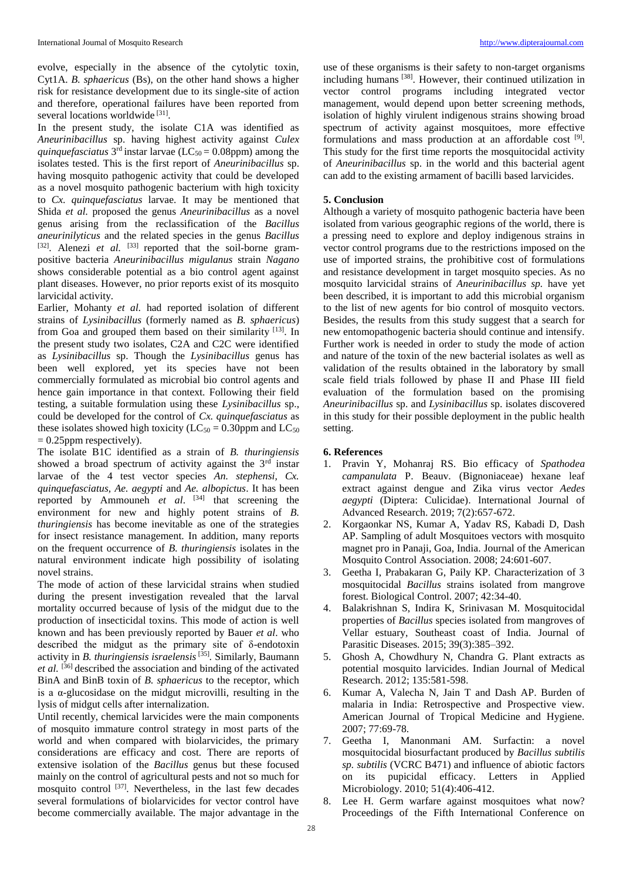evolve, especially in the absence of the cytolytic toxin, Cyt1A. *B. sphaericus* (Bs), on the other hand shows a higher risk for resistance development due to its single-site of action and therefore, operational failures have been reported from several locations worldwide<sup>[31]</sup>.

In the present study, the isolate C1A was identified as *Aneurinibacillus* sp. having highest activity against *Culex quinquefasciatus*  $3<sup>rd</sup>$  instar larvae (LC<sub>50</sub> = 0.08ppm) among the isolates tested. This is the first report of *Aneurinibacillus* sp. having mosquito pathogenic activity that could be developed as a novel mosquito pathogenic bacterium with high toxicity to *Cx. quinquefasciatus* larvae. It may be mentioned that Shida *et al.* proposed the genus *Aneurinibacillus* as a novel genus arising from the reclassification of the *Bacillus aneurinilyticus* and the related species in the genus *Bacillus* [32]. Alenezi *et al.* [33] reported that the soil-borne grampositive bacteria *Aneurinibacillus migulanus* strain *Nagano* shows considerable potential as a bio control agent against plant diseases. However, no prior reports exist of its mosquito larvicidal activity.

Earlier, Mohanty *et al.* had reported isolation of different strains of *Lysinibacillus* (formerly named as *B. sphaericus*) from Goa and grouped them based on their similarity [13]. In the present study two isolates, C2A and C2C were identified as *Lysinibacillus* sp. Though the *Lysinibacillus* genus has been well explored, yet its species have not been commercially formulated as microbial bio control agents and hence gain importance in that context. Following their field testing, a suitable formulation using these *Lysinibacillus* sp., could be developed for the control of *Cx. quinquefasciatus* as these isolates showed high toxicity ( $LC_{50} = 0.30$ ppm and  $LC_{50}$  $= 0.25$ ppm respectively).

The isolate B1C identified as a strain of *B. thuringiensis* showed a broad spectrum of activity against the 3<sup>rd</sup> instar larvae of the 4 test vector species *An. stephensi*, *Cx. quinquefasciatus, Ae. aegypti* and *Ae. albopictus*. It has been reported by Ammouneh *et al*. [34] that screening the environment for new and highly potent strains of *B*. *thuringiensis* has become inevitable as one of the strategies for insect resistance management. In addition, many reports on the frequent occurrence of *B. thuringiensis* isolates in the natural environment indicate high possibility of isolating novel strains.

The mode of action of these larvicidal strains when studied during the present investigation revealed that the larval mortality occurred because of lysis of the midgut due to the production of insecticidal toxins. This mode of action is well known and has been previously reported by Bauer *et al*. who described the midgut as the primary site of δ-endotoxin activity in *B. thuringiensis israelensis*<sup>[35]</sup>. Similarly, Baumann *et al.* [36] described the association and binding of the activated BinA and BinB toxin of *B. sphaericus* to the receptor, which is a α-glucosidase on the midgut microvilli, resulting in the lysis of midgut cells after internalization.

Until recently, chemical larvicides were the main components of mosquito immature control strategy in most parts of the world and when compared with biolarvicides, the primary considerations are efficacy and cost. There are reports of extensive isolation of the *Bacillus* genus but these focused mainly on the control of agricultural pests and not so much for mosquito control <sup>[37]</sup>. Nevertheless, in the last few decades several formulations of biolarvicides for vector control have become commercially available. The major advantage in the

use of these organisms is their safety to non-target organisms including humans [38]. However, their continued utilization in vector control programs including integrated vector management, would depend upon better screening methods, isolation of highly virulent indigenous strains showing broad spectrum of activity against mosquitoes, more effective formulations and mass production at an affordable cost [9]. This study for the first time reports the mosquitocidal activity of *Aneurinibacillus* sp. in the world and this bacterial agent can add to the existing armament of bacilli based larvicides.

# **5. Conclusion**

Although a variety of mosquito pathogenic bacteria have been isolated from various geographic regions of the world, there is a pressing need to explore and deploy indigenous strains in vector control programs due to the restrictions imposed on the use of imported strains, the prohibitive cost of formulations and resistance development in target mosquito species. As no mosquito larvicidal strains of *Aneurinibacillus sp.* have yet been described, it is important to add this microbial organism to the list of new agents for bio control of mosquito vectors. Besides, the results from this study suggest that a search for new entomopathogenic bacteria should continue and intensify. Further work is needed in order to study the mode of action and nature of the toxin of the new bacterial isolates as well as validation of the results obtained in the laboratory by small scale field trials followed by phase II and Phase III field evaluation of the formulation based on the promising *Aneurinibacillus* sp. and *Lysinibacillus* sp. isolates discovered in this study for their possible deployment in the public health setting.

# **6. References**

- 1. Pravin Y, Mohanraj RS. Bio efficacy of *Spathodea campanulata* P. Beauv. (Bignoniaceae) hexane leaf extract against dengue and Zika virus vector *Aedes aegypti* (Diptera: Culicidae). International Journal of Advanced Research. 2019; 7(2):657-672.
- 2. Korgaonkar NS, Kumar A, Yadav RS, Kabadi D, Dash AP. Sampling of adult Mosquitoes vectors with mosquito magnet pro in Panaji, Goa, India. Journal of the American Mosquito Control Association. 2008; 24:601-607.
- 3. Geetha I, Prabakaran G, Paily KP. Characterization of 3 mosquitocidal *Bacillus* strains isolated from mangrove forest. Biological Control. 2007; 42:34-40.
- 4. Balakrishnan S, Indira K, Srinivasan M. Mosquitocidal properties of *Bacillus* species isolated from mangroves of Vellar estuary, Southeast coast of India. Journal of Parasitic Diseases. 2015; 39(3):385–392.
- 5. Ghosh A, Chowdhury N, Chandra G. Plant extracts as potential mosquito larvicides. Indian Journal of Medical Research. 2012; 135:581-598.
- 6. Kumar A, Valecha N, Jain T and Dash AP. Burden of malaria in India: Retrospective and Prospective view. American Journal of Tropical Medicine and Hygiene. 2007; 77:69-78.
- 7. Geetha I, Manonmani AM. Surfactin: a novel mosquitocidal biosurfactant produced by *Bacillus subtilis sp. subtilis* (VCRC B471) and influence of abiotic factors on its pupicidal efficacy. Letters in Applied Microbiology. 2010; 51(4):406-412.
- 8. Lee H. Germ warfare against mosquitoes what now? Proceedings of the Fifth International Conference on